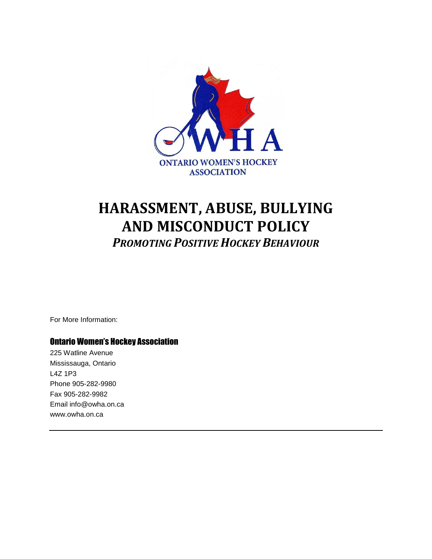

# **HARASSMENT, ABUSE, BULLYING AND MISCONDUCT POLICY** *PROMOTING POSITIVE HOCKEY BEHAVIOUR*

For More Information:

## Ontario Women's Hockey Association

225 Watline Avenue Mississauga, Ontario L4Z 1P3 Phone 905-282-9980 Fax 905-282-9982 Email info@owha.on.ca www.owha.on.ca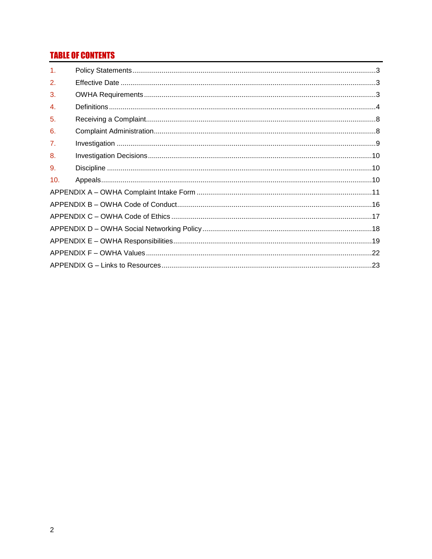# **TABLE OF CONTENTS**

| $\mathbf{1}$ . |  |
|----------------|--|
| 2.             |  |
| 3.             |  |
| $\mathbf{A}$   |  |
| 5.             |  |
| 6.             |  |
| 7 <sub>1</sub> |  |
| 8.             |  |
| 9.             |  |
| 10.            |  |
|                |  |
|                |  |
|                |  |
|                |  |
|                |  |
|                |  |
|                |  |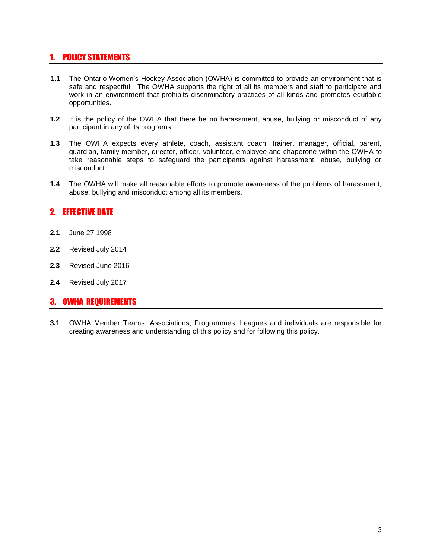# 1. POLICY STATEMENTS

- **1.1** The Ontario Women's Hockey Association (OWHA) is committed to provide an environment that is safe and respectful. The OWHA supports the right of all its members and staff to participate and work in an environment that prohibits discriminatory practices of all kinds and promotes equitable opportunities.
- **1.2** It is the policy of the OWHA that there be no harassment, abuse, bullying or misconduct of any participant in any of its programs.
- **1.3** The OWHA expects every athlete, coach, assistant coach, trainer, manager, official, parent, guardian, family member, director, officer, volunteer, employee and chaperone within the OWHA to take reasonable steps to safeguard the participants against harassment, abuse, bullying or misconduct.
- **1.4** The OWHA will make all reasonable efforts to promote awareness of the problems of harassment, abuse, bullying and misconduct among all its members.

## 2. EFFECTIVE DATE

- **2.1** June 27 1998
- **2.2** Revised July 2014
- **2.3** Revised June 2016
- **2.4** Revised July 2017

### 3. OWHA REQUIREMENTS

**3.1** OWHA Member Teams, Associations, Programmes, Leagues and individuals are responsible for creating awareness and understanding of this policy and for following this policy.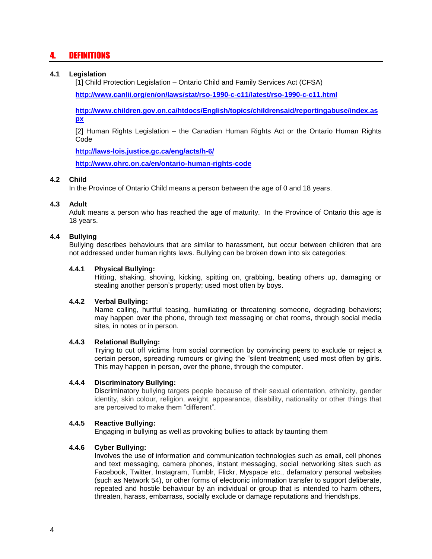# 4. DEFINITIONS

#### **4.1 Legislation**

[1] Child Protection Legislation – Ontario Child and Family Services Act (CFSA)

**<http://www.canlii.org/en/on/laws/stat/rso-1990-c-c11/latest/rso-1990-c-c11.html>**

**[http://www.children.gov.on.ca/htdocs/English/topics/childrensaid/reportingabuse/index.as](http://www.children.gov.on.ca/htdocs/English/topics/childrensaid/reportingabuse/index.aspx) [px](http://www.children.gov.on.ca/htdocs/English/topics/childrensaid/reportingabuse/index.aspx)**

[2] Human Rights Legislation – the Canadian Human Rights Act or the Ontario Human Rights Code

**<http://laws-lois.justice.gc.ca/eng/acts/h-6/>**

**<http://www.ohrc.on.ca/en/ontario-human-rights-code>**

#### **4.2 Child**

In the Province of Ontario Child means a person between the age of 0 and 18 years.

#### **4.3 Adult**

Adult means a person who has reached the age of maturity. In the Province of Ontario this age is 18 years.

#### **4.4 Bullying**

Bullying describes behaviours that are similar to harassment, but occur between children that are not addressed under human rights laws. Bullying can be broken down into six categories:

#### **4.4.1 Physical Bullying:**

Hitting, shaking, shoving, kicking, spitting on, grabbing, beating others up, damaging or stealing another person's property; used most often by boys.

#### **4.4.2 Verbal Bullying:**

Name calling, hurtful teasing, humiliating or threatening someone, degrading behaviors; may happen over the phone, through text messaging or chat rooms, through social media sites, in notes or in person.

#### **4.4.3 Relational Bullying:**

Trying to cut off victims from social connection by convincing peers to exclude or reject a certain person, spreading rumours or giving the "silent treatment; used most often by girls. This may happen in person, over the phone, through the computer.

#### **4.4.4 Discriminatory Bullying:**

Discriminatory bullying targets people because of their sexual orientation, ethnicity, gender identity, skin colour, religion, weight, appearance, disability, nationality or other things that are perceived to make them "different".

#### **4.4.5 Reactive Bullying:**

Engaging in bullying as well as provoking bullies to attack by taunting them

#### **4.4.6 Cyber Bullying:**

Involves the use of information and communication technologies such as email, cell phones and text messaging, camera phones, instant messaging, social networking sites such as Facebook, Twitter, Instagram, Tumblr, Flickr, Myspace etc., defamatory personal websites (such as Network 54), or other forms of electronic information transfer to support deliberate, repeated and hostile behaviour by an individual or group that is intended to harm others, threaten, harass, embarrass, socially exclude or damage reputations and friendships.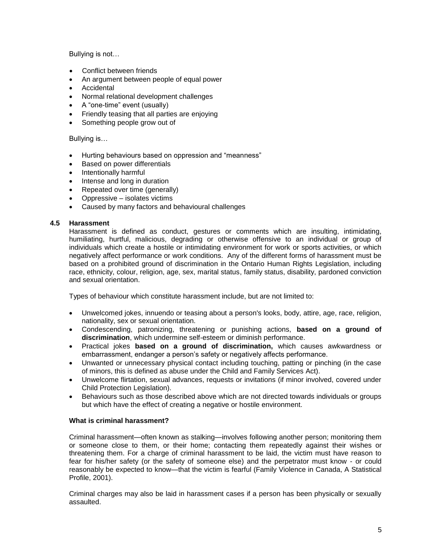Bullying is not…

- Conflict between friends
- An argument between people of equal power
- Accidental
- Normal relational development challenges
- A "one-time" event (usually)
- Friendly teasing that all parties are enjoying
- Something people grow out of

#### Bullying is…

- Hurting behaviours based on oppression and "meanness"
- Based on power differentials
- Intentionally harmful
- Intense and long in duration
- Repeated over time (generally)
- Oppressive isolates victims
- Caused by many factors and behavioural challenges

#### **4.5 Harassment**

Harassment is defined as conduct, gestures or comments which are insulting, intimidating, humiliating, hurtful, malicious, degrading or otherwise offensive to an individual or group of individuals which create a hostile or intimidating environment for work or sports activities, or which negatively affect performance or work conditions. Any of the different forms of harassment must be based on a prohibited ground of discrimination in the Ontario Human Rights Legislation, including race, ethnicity, colour, religion, age, sex, marital status, family status, disability, pardoned conviction and sexual orientation.

Types of behaviour which constitute harassment include, but are not limited to:

- Unwelcomed jokes, innuendo or teasing about a person's looks, body, attire, age, race, religion, nationality, sex or sexual orientation.
- Condescending, patronizing, threatening or punishing actions, **based on a ground of discrimination**, which undermine self-esteem or diminish performance.
- Practical jokes **based on a ground of discrimination,** which causes awkwardness or embarrassment, endanger a person's safety or negatively affects performance.
- Unwanted or unnecessary physical contact including touching, patting or pinching (in the case of minors, this is defined as abuse under the Child and Family Services Act).
- Unwelcome flirtation, sexual advances, requests or invitations (if minor involved, covered under Child Protection Legislation).
- Behaviours such as those described above which are not directed towards individuals or groups but which have the effect of creating a negative or hostile environment.

#### **What is criminal harassment?**

Criminal harassment—often known as stalking—involves following another person; monitoring them or someone close to them, or their home; contacting them repeatedly against their wishes or threatening them. For a charge of criminal harassment to be laid, the victim must have reason to fear for his/her safety (or the safety of someone else) and the perpetrator must know - or could reasonably be expected to know—that the victim is fearful (Family Violence in Canada, A Statistical Profile, 2001).

Criminal charges may also be laid in harassment cases if a person has been physically or sexually assaulted.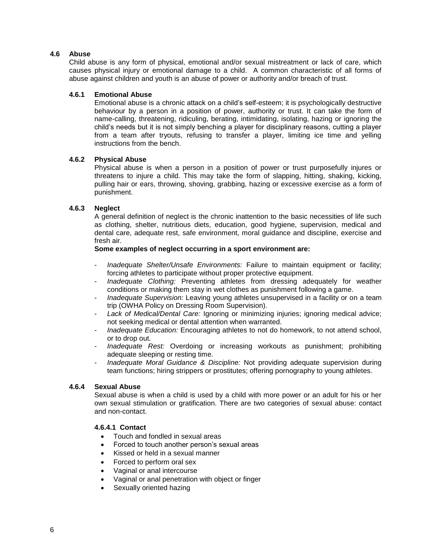#### **4.6 Abuse**

Child abuse is any form of physical, emotional and/or sexual mistreatment or lack of care, which causes physical injury or emotional damage to a child. A common characteristic of all forms of abuse against children and youth is an abuse of power or authority and/or breach of trust.

#### **4.6.1 Emotional Abuse**

Emotional abuse is a chronic attack on a child's self-esteem; it is psychologically destructive behaviour by a person in a position of power, authority or trust. It can take the form of name-calling, threatening, ridiculing, berating, intimidating, isolating, hazing or ignoring the child's needs but it is not simply benching a player for disciplinary reasons, cutting a player from a team after tryouts, refusing to transfer a player, limiting ice time and yelling instructions from the bench.

#### **4.6.2 Physical Abuse**

Physical abuse is when a person in a position of power or trust purposefully injures or threatens to injure a child. This may take the form of slapping, hitting, shaking, kicking, pulling hair or ears, throwing, shoving, grabbing, hazing or excessive exercise as a form of punishment.

#### **4.6.3 Neglect**

A general definition of neglect is the chronic inattention to the basic necessities of life such as clothing, shelter, nutritious diets, education, good hygiene, supervision, medical and dental care, adequate rest, safe environment, moral guidance and discipline, exercise and fresh air.

#### **Some examples of neglect occurring in a sport environment are:**

- *Inadequate Shelter/Unsafe Environments:* Failure to maintain equipment or facility; forcing athletes to participate without proper protective equipment.
- *Inadequate Clothing:* Preventing athletes from dressing adequately for weather conditions or making them stay in wet clothes as punishment following a game.
- *Inadequate Supervision:* Leaving young athletes unsupervised in a facility or on a team trip (OWHA Policy on Dressing Room Supervision).
- *Lack of Medical/Dental Care:* Ignoring or minimizing injuries; ignoring medical advice; not seeking medical or dental attention when warranted.
- *Inadequate Education:* Encouraging athletes to not do homework, to not attend school, or to drop out.
- *Inadequate Rest:* Overdoing or increasing workouts as punishment; prohibiting adequate sleeping or resting time.
- *Inadequate Moral Guidance & Discipline:* Not providing adequate supervision during team functions; hiring strippers or prostitutes; offering pornography to young athletes.

#### **4.6.4 Sexual Abuse**

Sexual abuse is when a child is used by a child with more power or an adult for his or her own sexual stimulation or gratification. There are two categories of sexual abuse: contact and non-contact.

#### **4.6.4.1 Contact**

- Touch and fondled in sexual areas
- Forced to touch another person's sexual areas
- Kissed or held in a sexual manner
- Forced to perform oral sex
- Vaginal or anal intercourse
- Vaginal or anal penetration with object or finger
- Sexually oriented hazing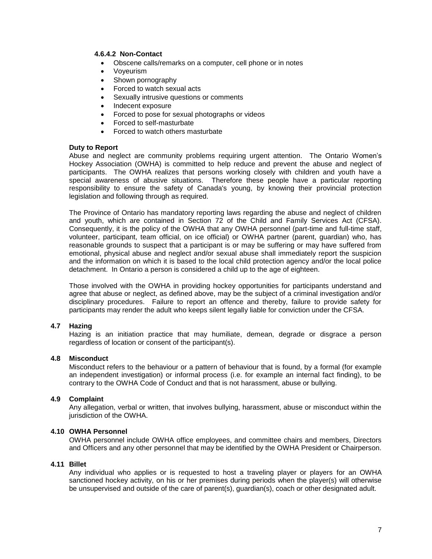#### **4.6.4.2 Non-Contact**

- Obscene calls/remarks on a computer, cell phone or in notes
- Voyeurism
- Shown pornography
- Forced to watch sexual acts
- Sexually intrusive questions or comments
- Indecent exposure
- Forced to pose for sexual photographs or videos
- Forced to self-masturbate
- Forced to watch others masturbate

#### **Duty to Report**

Abuse and neglect are community problems requiring urgent attention. The Ontario Women's Hockey Association (OWHA) is committed to help reduce and prevent the abuse and neglect of participants. The OWHA realizes that persons working closely with children and youth have a special awareness of abusive situations. Therefore these people have a particular reporting responsibility to ensure the safety of Canada's young, by knowing their provincial protection legislation and following through as required.

The Province of Ontario has mandatory reporting laws regarding the abuse and neglect of children and youth, which are contained in Section 72 of the Child and Family Services Act (CFSA). Consequently, it is the policy of the OWHA that any OWHA personnel (part-time and full-time staff, volunteer, participant, team official, on ice official) or OWHA partner (parent, guardian) who, has reasonable grounds to suspect that a participant is or may be suffering or may have suffered from emotional, physical abuse and neglect and/or sexual abuse shall immediately report the suspicion and the information on which it is based to the local child protection agency and/or the local police detachment. In Ontario a person is considered a child up to the age of eighteen.

Those involved with the OWHA in providing hockey opportunities for participants understand and agree that abuse or neglect, as defined above, may be the subject of a criminal investigation and/or disciplinary procedures. Failure to report an offence and thereby, failure to provide safety for participants may render the adult who keeps silent legally liable for conviction under the CFSA.

#### **4.7 Hazing**

Hazing is an initiation practice that may humiliate, demean, degrade or disgrace a person regardless of location or consent of the participant(s).

#### **4.8 Misconduct**

Misconduct refers to the behaviour or a pattern of behaviour that is found, by a formal (for example an independent investigation) or informal process (i.e. for example an internal fact finding), to be contrary to the OWHA Code of Conduct and that is not harassment, abuse or bullying.

#### **4.9 Complaint**

Any allegation, verbal or written, that involves bullying, harassment, abuse or misconduct within the jurisdiction of the OWHA.

#### **4.10 OWHA Personnel**

OWHA personnel include OWHA office employees, and committee chairs and members, Directors and Officers and any other personnel that may be identified by the OWHA President or Chairperson.

#### **4.11 Billet**

Any individual who applies or is requested to host a traveling player or players for an OWHA sanctioned hockey activity, on his or her premises during periods when the player(s) will otherwise be unsupervised and outside of the care of parent(s), guardian(s), coach or other designated adult.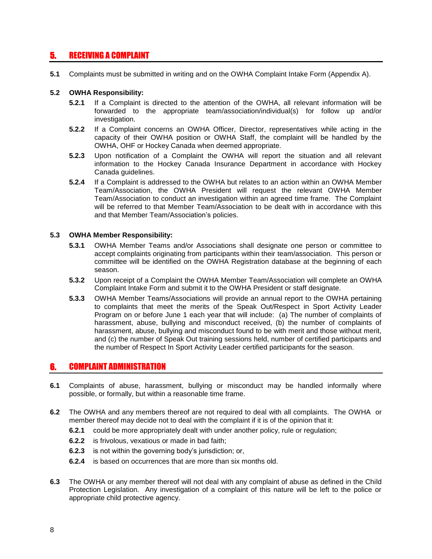# 5. RECEIVING A COMPLAINT

**5.1** Complaints must be submitted in writing and on the OWHA Complaint Intake Form (Appendix A).

#### **5.2 OWHA Responsibility:**

- **5.2.1** If a Complaint is directed to the attention of the OWHA, all relevant information will be forwarded to the appropriate team/association/individual(s) for follow up and/or investigation.
- **5.2.2** If a Complaint concerns an OWHA Officer, Director, representatives while acting in the capacity of their OWHA position or OWHA Staff, the complaint will be handled by the OWHA, OHF or Hockey Canada when deemed appropriate.
- **5.2.3** Upon notification of a Complaint the OWHA will report the situation and all relevant information to the Hockey Canada Insurance Department in accordance with Hockey Canada guidelines.
- **5.2.4** If a Complaint is addressed to the OWHA but relates to an action within an OWHA Member Team/Association, the OWHA President will request the relevant OWHA Member Team/Association to conduct an investigation within an agreed time frame. The Complaint will be referred to that Member Team/Association to be dealt with in accordance with this and that Member Team/Association's policies.

#### **5.3 OWHA Member Responsibility:**

- **5.3.1** OWHA Member Teams and/or Associations shall designate one person or committee to accept complaints originating from participants within their team/association. This person or committee will be identified on the OWHA Registration database at the beginning of each season.
- **5.3.2** Upon receipt of a Complaint the OWHA Member Team/Association will complete an OWHA Complaint Intake Form and submit it to the OWHA President or staff designate.
- **5.3.3** OWHA Member Teams/Associations will provide an annual report to the OWHA pertaining to complaints that meet the merits of the Speak Out/Respect in Sport Activity Leader Program on or before June 1 each year that will include: (a) The number of complaints of harassment, abuse, bullying and misconduct received, (b) the number of complaints of harassment, abuse, bullying and misconduct found to be with merit and those without merit, and (c) the number of Speak Out training sessions held, number of certified participants and the number of Respect In Sport Activity Leader certified participants for the season.

## 6. COMPLAINT ADMINISTRATION

- **6.1** Complaints of abuse, harassment, bullying or misconduct may be handled informally where possible, or formally, but within a reasonable time frame.
- **6.2** The OWHA and any members thereof are not required to deal with all complaints. The OWHA or member thereof may decide not to deal with the complaint if it is of the opinion that it:
	- **6.2.1** could be more appropriately dealt with under another policy, rule or regulation;
	- **6.2.2** is frivolous, vexatious or made in bad faith;
	- **6.2.3** is not within the governing body's jurisdiction; or,
	- **6.2.4** is based on occurrences that are more than six months old.
- **6.3** The OWHA or any member thereof will not deal with any complaint of abuse as defined in the Child Protection Legislation. Any investigation of a complaint of this nature will be left to the police or appropriate child protective agency.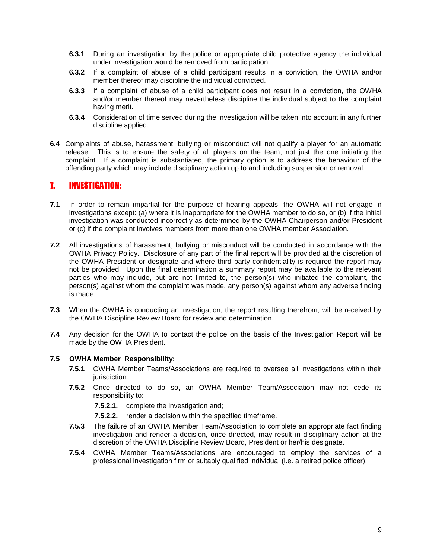- **6.3.1** During an investigation by the police or appropriate child protective agency the individual under investigation would be removed from participation.
- **6.3.2** If a complaint of abuse of a child participant results in a conviction, the OWHA and/or member thereof may discipline the individual convicted.
- **6.3.3** If a complaint of abuse of a child participant does not result in a conviction, the OWHA and/or member thereof may nevertheless discipline the individual subject to the complaint having merit.
- **6.3.4** Consideration of time served during the investigation will be taken into account in any further discipline applied.
- **6.4** Complaints of abuse, harassment, bullying or misconduct will not qualify a player for an automatic release. This is to ensure the safety of all players on the team, not just the one initiating the complaint. If a complaint is substantiated, the primary option is to address the behaviour of the offending party which may include disciplinary action up to and including suspension or removal.

### 7. INVESTIGATION:

- **7.1** In order to remain impartial for the purpose of hearing appeals, the OWHA will not engage in investigations except: (a) where it is inappropriate for the OWHA member to do so, or (b) if the initial investigation was conducted incorrectly as determined by the OWHA Chairperson and/or President or (c) if the complaint involves members from more than one OWHA member Association.
- **7.2** All investigations of harassment, bullying or misconduct will be conducted in accordance with the OWHA Privacy Policy. Disclosure of any part of the final report will be provided at the discretion of the OWHA President or designate and where third party confidentiality is required the report may not be provided. Upon the final determination a summary report may be available to the relevant parties who may include, but are not limited to, the person(s) who initiated the complaint, the person(s) against whom the complaint was made, any person(s) against whom any adverse finding is made.
- **7.3** When the OWHA is conducting an investigation, the report resulting therefrom, will be received by the OWHA Discipline Review Board for review and determination.
- **7.4** Any decision for the OWHA to contact the police on the basis of the Investigation Report will be made by the OWHA President.

#### **7.5 OWHA Member Responsibility:**

- **7.5.1** OWHA Member Teams/Associations are required to oversee all investigations within their jurisdiction.
- **7.5.2** Once directed to do so, an OWHA Member Team/Association may not cede its responsibility to:

**7.5.2.1.** complete the investigation and;

- **7.5.2.2.** render a decision within the specified timeframe.
- **7.5.3** The failure of an OWHA Member Team/Association to complete an appropriate fact finding investigation and render a decision, once directed, may result in disciplinary action at the discretion of the OWHA Discipline Review Board, President or her/his designate.
- **7.5.4** OWHA Member Teams/Associations are encouraged to employ the services of a professional investigation firm or suitably qualified individual (i.e. a retired police officer).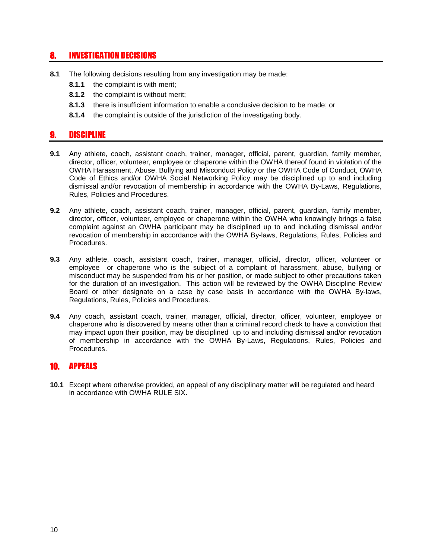## 8. INVESTIGATION DECISIONS

- **8.1** The following decisions resulting from any investigation may be made:
	- **8.1.1** the complaint is with merit:
	- **8.1.2** the complaint is without merit;
	- **8.1.3** there is insufficient information to enable a conclusive decision to be made; or
	- **8.1.4** the complaint is outside of the jurisdiction of the investigating body.

## **DISCIPLINE**

- **9.1** Any athlete, coach, assistant coach, trainer, manager, official, parent, guardian, family member, director, officer, volunteer, employee or chaperone within the OWHA thereof found in violation of the OWHA Harassment, Abuse, Bullying and Misconduct Policy or the OWHA Code of Conduct, OWHA Code of Ethics and/or OWHA Social Networking Policy may be disciplined up to and including dismissal and/or revocation of membership in accordance with the OWHA By-Laws, Regulations, Rules, Policies and Procedures.
- **9.2** Any athlete, coach, assistant coach, trainer, manager, official, parent, guardian, family member, director, officer, volunteer, employee or chaperone within the OWHA who knowingly brings a false complaint against an OWHA participant may be disciplined up to and including dismissal and/or revocation of membership in accordance with the OWHA By-laws, Regulations, Rules, Policies and Procedures.
- **9.3** Any athlete, coach, assistant coach, trainer, manager, official, director, officer, volunteer or employee or chaperone who is the subject of a complaint of harassment, abuse, bullying or misconduct may be suspended from his or her position, or made subject to other precautions taken for the duration of an investigation. This action will be reviewed by the OWHA Discipline Review Board or other designate on a case by case basis in accordance with the OWHA By-laws, Regulations, Rules, Policies and Procedures.
- **9.4** Any coach, assistant coach, trainer, manager, official, director, officer, volunteer, employee or chaperone who is discovered by means other than a criminal record check to have a conviction that may impact upon their position, may be disciplined up to and including dismissal and/or revocation of membership in accordance with the OWHA By-Laws, Regulations, Rules, Policies and Procedures.

### **APPEALS**

**10.1** Except where otherwise provided, an appeal of any disciplinary matter will be regulated and heard in accordance with OWHA RULE SIX.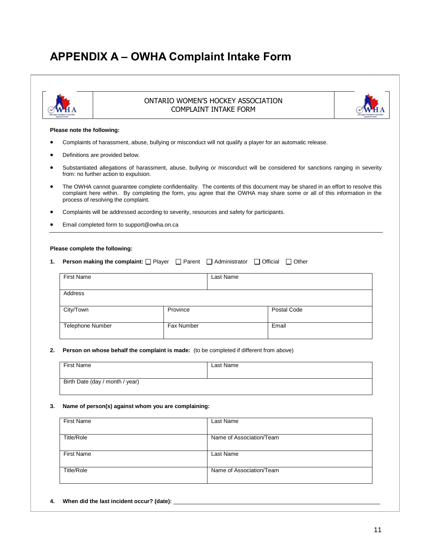# **APPENDIX A – OWHA Complaint Intake Form**



#### ONTARIO WOMEN'S HOCKEY ASSOCIATION COMPLAINT INTAKE FORM



#### **Please note the following:**

- Complaints of harassment, abuse, bullying or misconduct will not qualify a player for an automatic release.
- Definitions are provided below.
- Substantiated allegations of harassment, abuse, bullying or misconduct will be considered for sanctions ranging in severity from: no further action to expulsion.
- The OWHA cannot guarantee complete confidentiality. The contents of this document may be shared in an effort to resolve this complaint here within. By completing the form, you agree that the OWHA may share some or all of this information in the process of resolving the complaint.
- Complaints will be addressed according to severity, resources and safety for participants.
- Email completed form to support@owha.on.ca

#### **Please complete the following:**

**1. Person making the complaint:**  $\Box$  Player  $\Box$  Parent  $\Box$  Administrator  $\Box$  Official  $\Box$  Other

| <b>First Name</b>       |            | Last Name |             |
|-------------------------|------------|-----------|-------------|
| Address                 |            |           |             |
| City/Town               | Province   |           | Postal Code |
| <b>Telephone Number</b> | Fax Number |           | Email       |

#### **2. Person on whose behalf the complaint is made:** (to be completed if different from above)

| First Name                      | Last Name |
|---------------------------------|-----------|
| Birth Date (day / month / year) |           |

#### **3. Name of person(s) against whom you are complaining:**

| First Name        | Last Name                |
|-------------------|--------------------------|
| <b>Title/Role</b> | Name of Association/Team |
| <b>First Name</b> | Last Name                |
| Title/Role        | Name of Association/Team |

**4. When did the last incident occur? (date):**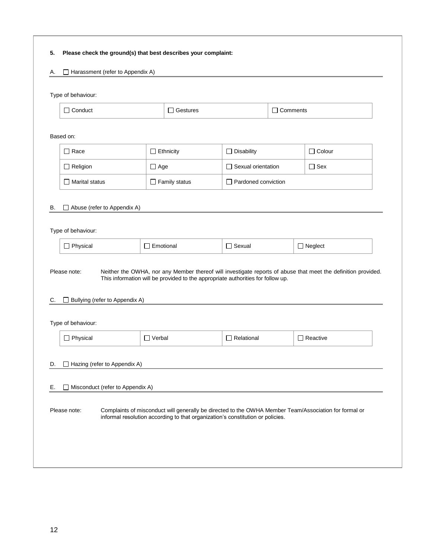#### **5. Please check the ground(s) that best describes your complaint:**

#### A.  $\Box$  Harassment (refer to Appendix A)

#### Type of behaviour:

| :onduct | tures<br> | mments |
|---------|-----------|--------|
|         |           |        |

| $\Box$ Race              |                                  | $\Box$ Ethnicity     | $\Box$ Disability          | $\Box$ Colour   |
|--------------------------|----------------------------------|----------------------|----------------------------|-----------------|
| $\Box$ Religion          |                                  | $\Box$ Age           | □ Sexual orientation       | $\Box$ Sex      |
| $\Box$ Marital status    |                                  | $\Box$ Family status | $\Box$ Pardoned conviction |                 |
| В.                       | Abuse (refer to Appendix A)      |                      |                            |                 |
| Type of behaviour:       |                                  |                      |                            |                 |
| $\Box$ Physical          |                                  | $\Box$ Emotional     | $\Box$ Sexual              | $\Box$ Neglect  |
| C.<br>Type of behaviour: | □ Bullying (refer to Appendix A) |                      |                            |                 |
| $\Box$ Physical          |                                  | $\Box$ Verbal        | $\Box$ Relational          | $\Box$ Reactive |
|                          |                                  |                      |                            |                 |
|                          | Hazing (refer to Appendix A)     |                      |                            |                 |
| D.<br>Е.                 | Misconduct (refer to Appendix A) |                      |                            |                 |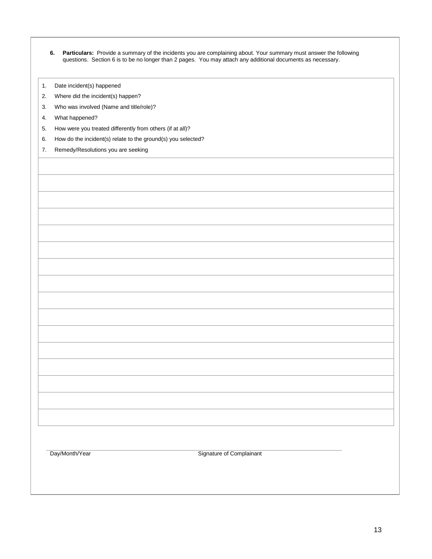| 6. Particulars: Provide a summary of the incidents you are complaining about. Your summary must answer the following |
|----------------------------------------------------------------------------------------------------------------------|
| questions. Section 6 is to be no longer than 2 pages. You may attach any additional documents as necessary.          |

- 1. Date incident(s) happened
- 2. Where did the incident(s) happen?
- 3. Who was involved (Name and title/role)?
- 4. What happened?
- 5. How were you treated differently from others (if at all)?
- 6. How do the incident(s) relate to the ground(s) you selected?
- 7. Remedy/Resolutions you are seeking

Day/Month/Year Signature of Complainant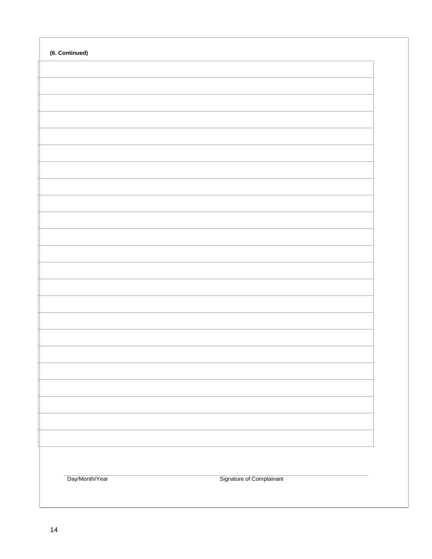| (6. Continued) |                          |  |
|----------------|--------------------------|--|
|                |                          |  |
|                |                          |  |
|                |                          |  |
|                |                          |  |
|                |                          |  |
|                |                          |  |
|                |                          |  |
|                |                          |  |
|                |                          |  |
|                |                          |  |
|                |                          |  |
|                |                          |  |
|                |                          |  |
|                |                          |  |
|                |                          |  |
|                |                          |  |
|                |                          |  |
|                |                          |  |
|                |                          |  |
|                |                          |  |
|                |                          |  |
| Day/Month/Year | Signature of Complainant |  |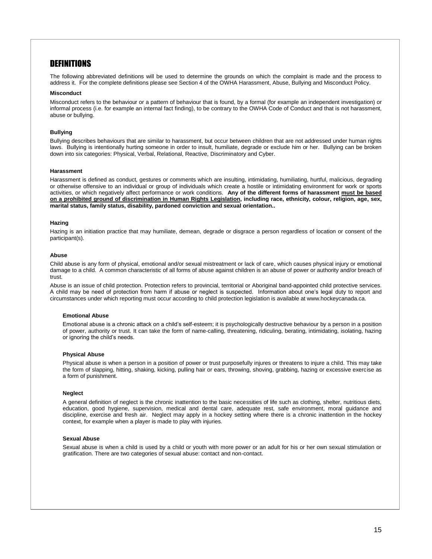## **DEFINITIONS**

The following abbreviated definitions will be used to determine the grounds on which the complaint is made and the process to address it. For the complete definitions please see Section 4 of the OWHA Harassment, Abuse, Bullying and Misconduct Policy.

#### **Misconduct**

Misconduct refers to the behaviour or a pattern of behaviour that is found, by a formal (for example an independent investigation) or informal process (i.e. for example an internal fact finding), to be contrary to the OWHA Code of Conduct and that is not harassment, abuse or bullying.

#### **Bullying**

Bullying describes behaviours that are similar to harassment, but occur between children that are not addressed under human rights laws. Bullying is intentionally hurting someone in order to insult, humiliate, degrade or exclude him or her. Bullying can be broken down into six categories: Physical, Verbal, Relational, Reactive, Discriminatory and Cyber.

#### **Harassment**

Harassment is defined as conduct, gestures or comments which are insulting, intimidating, humiliating, hurtful, malicious, degrading or otherwise offensive to an individual or group of individuals which create a hostile or intimidating environment for work or sports activities, or which negatively affect performance or work conditions. **Any of the different forms of harassment must be based on a prohibited ground of discrimination in Human Rights Legislation, including race, ethnicity, colour, religion, age, sex, marital status, family status, disability, pardoned conviction and sexual orientation..**

#### **Hazing**

Hazing is an initiation practice that may humiliate, demean, degrade or disgrace a person regardless of location or consent of the participant(s).

#### **Abuse**

Child abuse is any form of physical, emotional and/or sexual mistreatment or lack of care, which causes physical injury or emotional damage to a child. A common characteristic of all forms of abuse against children is an abuse of power or authority and/or breach of trust.

Abuse is an issue of child protection. Protection refers to provincial, territorial or Aboriginal band-appointed child protective services. A child may be need of protection from harm if abuse or neglect is suspected. Information about one's legal duty to report and circumstances under which reporting must occur according to child protection legislation is available at www.hockeycanada.ca.

#### **Emotional Abuse**

Emotional abuse is a chronic attack on a child's self-esteem; it is psychologically destructive behaviour by a person in a position of power, authority or trust. It can take the form of name-calling, threatening, ridiculing, berating, intimidating, isolating, hazing or ignoring the child's needs.

#### **Physical Abuse**

Physical abuse is when a person in a position of power or trust purposefully injures or threatens to injure a child. This may take the form of slapping, hitting, shaking, kicking, pulling hair or ears, throwing, shoving, grabbing, hazing or excessive exercise as a form of punishment.

#### **Neglect**

A general definition of neglect is the chronic inattention to the basic necessities of life such as clothing, shelter, nutritious diets, education, good hygiene, supervision, medical and dental care, adequate rest, safe environment, moral guidance and discipline, exercise and fresh air. Neglect may apply in a hockey setting where there is a chronic inattention in the hockey context, for example when a player is made to play with injuries.

#### **Sexual Abuse**

Sexual abuse is when a child is used by a child or youth with more power or an adult for his or her own sexual stimulation or gratification. There are two categories of sexual abuse: contact and non-contact.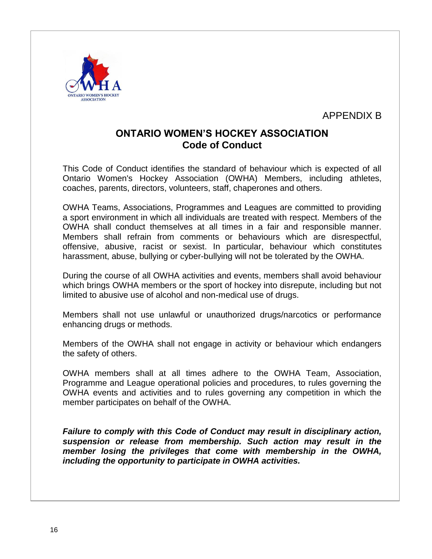

APPENDIX B

# **ONTARIO WOMEN'S HOCKEY ASSOCIATION Code of Conduct**

This Code of Conduct identifies the standard of behaviour which is expected of all Ontario Women's Hockey Association (OWHA) Members, including athletes, coaches, parents, directors, volunteers, staff, chaperones and others.

OWHA Teams, Associations, Programmes and Leagues are committed to providing a sport environment in which all individuals are treated with respect. Members of the OWHA shall conduct themselves at all times in a fair and responsible manner. Members shall refrain from comments or behaviours which are disrespectful, offensive, abusive, racist or sexist. In particular, behaviour which constitutes harassment, abuse, bullying or cyber-bullying will not be tolerated by the OWHA.

During the course of all OWHA activities and events, members shall avoid behaviour which brings OWHA members or the sport of hockey into disrepute, including but not limited to abusive use of alcohol and non-medical use of drugs.

Members shall not use unlawful or unauthorized drugs/narcotics or performance enhancing drugs or methods.

Members of the OWHA shall not engage in activity or behaviour which endangers the safety of others.

OWHA members shall at all times adhere to the OWHA Team, Association, Programme and League operational policies and procedures, to rules governing the OWHA events and activities and to rules governing any competition in which the member participates on behalf of the OWHA.

*Failure to comply with this Code of Conduct may result in disciplinary action, suspension or release from membership. Such action may result in the member losing the privileges that come with membership in the OWHA, including the opportunity to participate in OWHA activities.*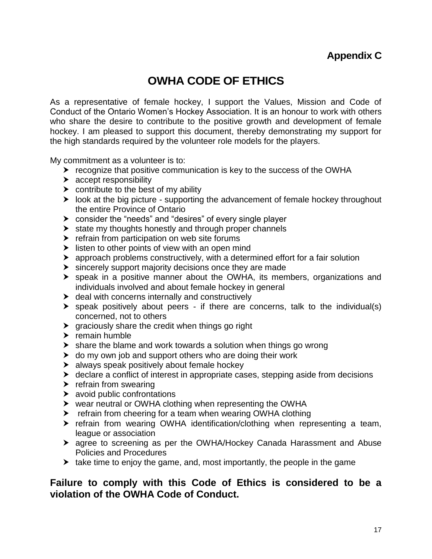# **OWHA CODE OF ETHICS**

As a representative of female hockey, I support the Values, Mission and Code of Conduct of the Ontario Women's Hockey Association. It is an honour to work with others who share the desire to contribute to the positive growth and development of female hockey. I am pleased to support this document, thereby demonstrating my support for the high standards required by the volunteer role models for the players.

My commitment as a volunteer is to:

- $\triangleright$  recognize that positive communication is key to the success of the OWHA
- $\blacktriangleright$  accept responsibility
- $\triangleright$  contribute to the best of my ability
- $\blacktriangleright$  look at the big picture supporting the advancement of female hockey throughout the entire Province of Ontario
- consider the "needs" and "desires" of every single player
- $\triangleright$  state my thoughts honestly and through proper channels
- $\blacktriangleright$  refrain from participation on web site forums
- $\blacktriangleright$  listen to other points of view with an open mind
- approach problems constructively, with a determined effort for a fair solution
- $\triangleright$  sincerely support majority decisions once they are made
- speak in a positive manner about the OWHA, its members, organizations and individuals involved and about female hockey in general
- $\triangleright$  deal with concerns internally and constructively
- speak positively about peers if there are concerns, talk to the individual(s) concerned, not to others
- $\triangleright$  graciously share the credit when things go right
- $\blacktriangleright$  remain humble
- $\triangleright$  share the blame and work towards a solution when things go wrong
- $\triangleright$  do my own job and support others who are doing their work
- > always speak positively about female hockey
- declare a conflict of interest in appropriate cases, stepping aside from decisions
- $\blacktriangleright$  refrain from swearing
- $\blacktriangleright$  avoid public confrontations
- wear neutral or OWHA clothing when representing the OWHA
- refrain from cheering for a team when wearing OWHA clothing
- refrain from wearing OWHA identification/clothing when representing a team, league or association
- agree to screening as per the OWHA/Hockey Canada Harassment and Abuse Policies and Procedures
- $\blacktriangleright$  take time to enjoy the game, and, most importantly, the people in the game

# **Failure to comply with this Code of Ethics is considered to be a violation of the OWHA Code of Conduct.**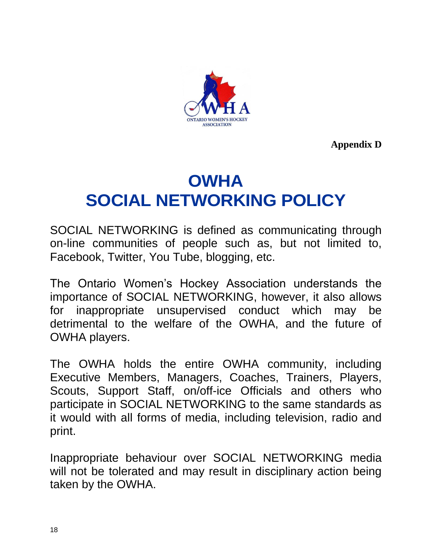

**Appendix D**

# **OWHA SOCIAL NETWORKING POLICY**

SOCIAL NETWORKING is defined as communicating through on-line communities of people such as, but not limited to, Facebook, Twitter, You Tube, blogging, etc.

The Ontario Women's Hockey Association understands the importance of SOCIAL NETWORKING, however, it also allows for inappropriate unsupervised conduct which may be detrimental to the welfare of the OWHA, and the future of OWHA players.

The OWHA holds the entire OWHA community, including Executive Members, Managers, Coaches, Trainers, Players, Scouts, Support Staff, on/off-ice Officials and others who participate in SOCIAL NETWORKING to the same standards as it would with all forms of media, including television, radio and print.

Inappropriate behaviour over SOCIAL NETWORKING media will not be tolerated and may result in disciplinary action being taken by the OWHA.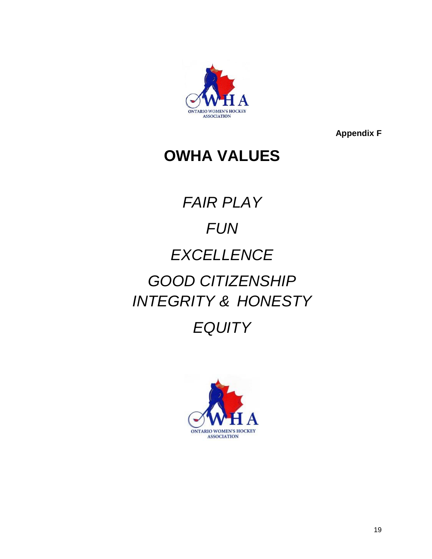

**Appendix F**

# **OWHA VALUES**

# *FAIR PLAY FUN EXCELLENCE GOOD CITIZENSHIP INTEGRITY & HONESTY*

# *EQUITY*